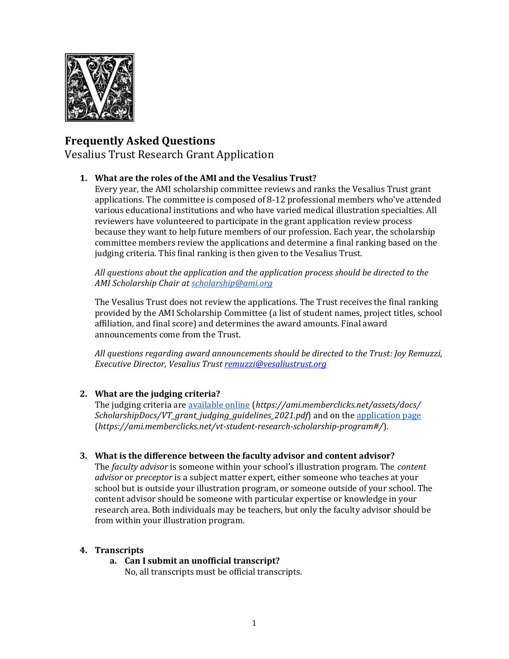

# **Frequently Asked Questions**

Vesalius Trust Research Grant Application

## **1. What are the roles of the AMI and the Vesalius Trust?**

Every year, the AMI scholarship committee reviews and ranks the Vesalius Trust grant applications. The committee is composed of 8-12 professional members who've attended various educational institutions and who have varied medical illustration specialties. All reviewers have volunteered to participate in the grant application review process because they want to help future members of our profession. Each year, the scholarship committee members review the applications and determine a final ranking based on the judging criteria. This final ranking is then given to the Vesalius Trust.

*All questions about the application and the application process should be directed to the AMI Scholarship Chair a[t scholarship@ami.org](mailto:scholarship@ami.org)*

The Vesalius Trust does not review the applications. The Trust receives the final ranking provided by the AMI Scholarship Committee (a list of student names, project titles, school affiliation, and final score) and determines the award amounts. Final award announcements come from the Trust.

*All questions regarding award announcements should be directed to the Trust: Joy Remuzzi, Executive Director, Vesalius Trust [remuzzi@vesaliustrust.org](mailto:remuzzi@vesaliustrust.org)*

# **2. What are the judging criteria?**

The judging criteria ar[e available online](https://ami.memberclicks.net/assets/docs/ScholarshipDocs/VT_grant_judging_guidelines_2021.pdf) (*https://ami.memberclicks.net/assets/docs/ ScholarshipDocs/VT\_grant\_judging\_guidelines\_2021.pdf*) and on the [application page](https://ami.memberclicks.net/vt-student-research-scholarship-program#/) (*https://ami.memberclicks.net/vt-student-research-scholarship-program#/*).

## **3. What is the difference between the faculty advisor and content advisor?**

The *faculty advisor* is someone within your school's illustration program. The *content advisor* or *preceptor* is a subject matter expert, either someone who teaches at your school but is outside your illustration program, or someone outside of your school. The content advisor should be someone with particular expertise or knowledge in your research area. Both individuals may be teachers, but only the faculty advisor should be from within your illustration program.

## **4. Transcripts**

**a. Can I submit an unofficial transcript?** No, all transcripts must be official transcripts.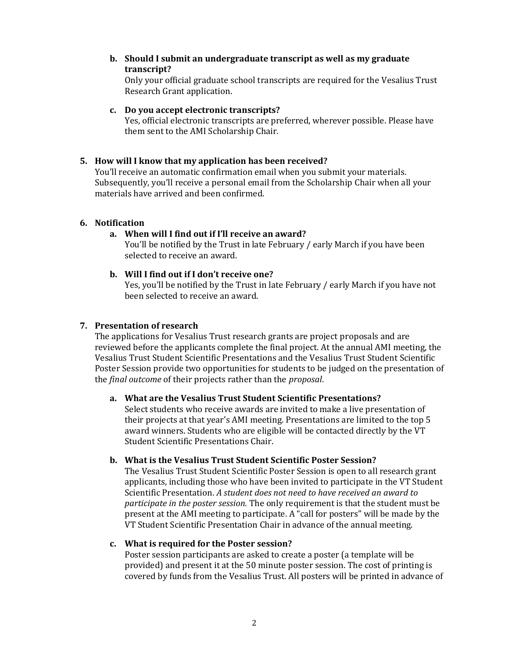**b. Should I submit an undergraduate transcript as well as my graduate transcript?**

Only your official graduate school transcripts are required for the Vesalius Trust Research Grant application.

## **c. Do you accept electronic transcripts?**

Yes, official electronic transcripts are preferred, wherever possible. Please have them sent to the AMI Scholarship Chair.

## **5. How will I know that my application has been received?**

You'll receive an automatic confirmation email when you submit your materials. Subsequently, you'll receive a personal email from the Scholarship Chair when all your materials have arrived and been confirmed.

#### **6. Notification**

## **a. When will I find out if I'll receive an award?**

You'll be notified by the Trust in late February / early March if you have been selected to receive an award.

#### **b. Will I find out if I don't receive one?**

Yes, you'll be notified by the Trust in late February / early March if you have not been selected to receive an award.

#### **7. Presentation of research**

The applications for Vesalius Trust research grants are project proposals and are reviewed before the applicants complete the final project. At the annual AMI meeting, the Vesalius Trust Student Scientific Presentations and the Vesalius Trust Student Scientific Poster Session provide two opportunities for students to be judged on the presentation of the *final outcome* of their projects rather than the *proposal*.

## **a. What are the Vesalius Trust Student Scientific Presentations?**

Select students who receive awards are invited to make a live presentation of their projects at that year's AMI meeting. Presentations are limited to the top 5 award winners. Students who are eligible will be contacted directly by the VT Student Scientific Presentations Chair.

#### **b. What is the Vesalius Trust Student Scientific Poster Session?**

The Vesalius Trust Student Scientific Poster Session is open to all research grant applicants, including those who have been invited to participate in the VT Student Scientific Presentation. *A student does not need to have received an award to participate in the poster session.* The only requirement is that the student must be present at the AMI meeting to participate. A "call for posters" will be made by the VT Student Scientific Presentation Chair in advance of the annual meeting.

#### **c. What is required for the Poster session?**

Poster session participants are asked to create a poster (a template will be provided) and present it at the 50 minute poster session. The cost of printing is covered by funds from the Vesalius Trust. All posters will be printed in advance of